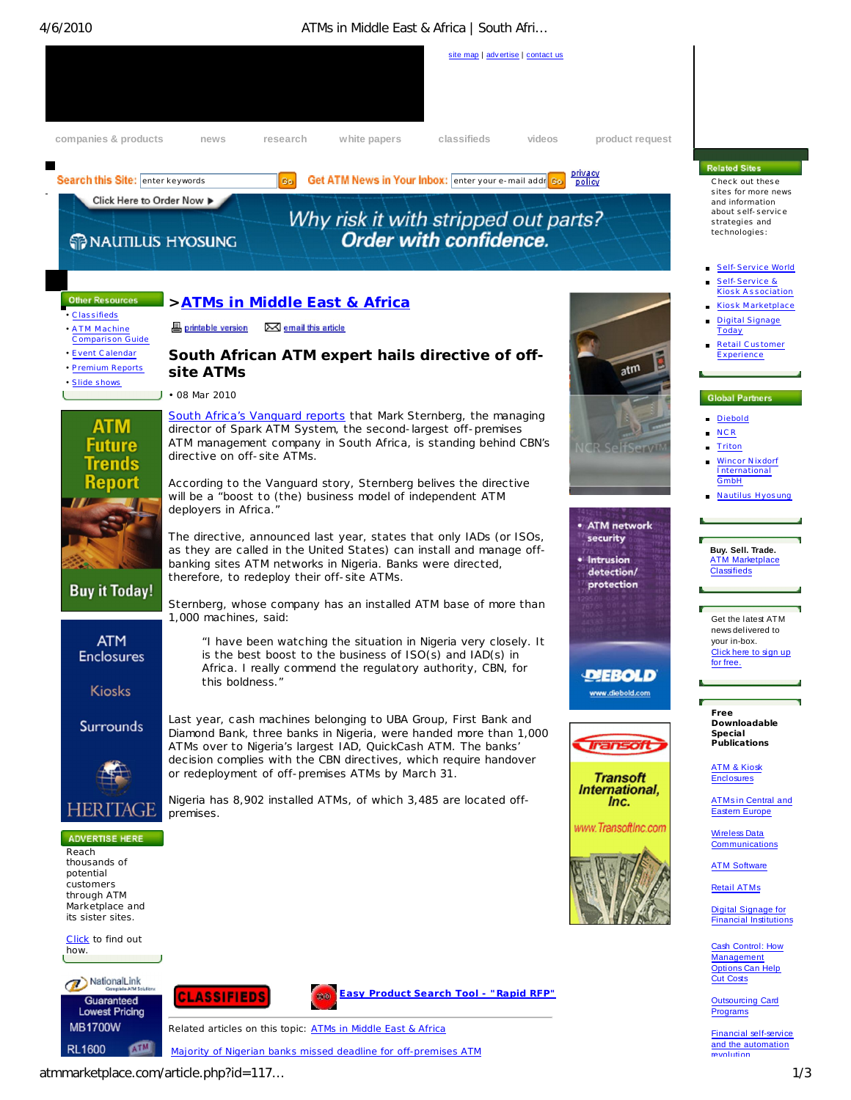# 4/6/2010 ATMs in Middle East & Africa | South Afri…



atmmarketplace.com/article.php?id=117… 1/3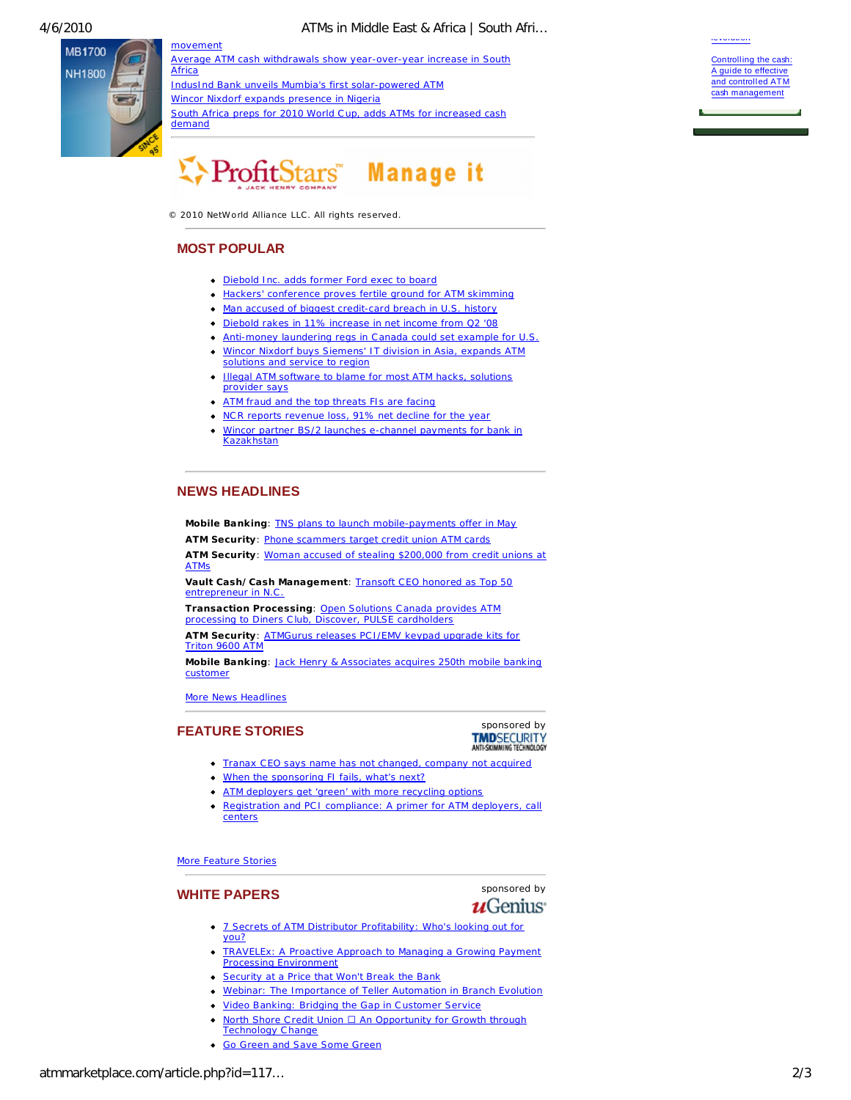**MB1700 NH1800** 

Africa IndusInd Bank unveils Mumbia's first solar-powered ATM Wincor Nixdorf expands presence in Nigeria South Africa preps for 2010 World Cup, adds ATMs for increased cash demand

Average ATM cash withdrawals show year-over-year increase in South



ProfitStars" Manage it

 $© 2010 Network$  NetWorld Alliance LLC. All rights reserved.

# **MOST POPULAR**

movement

- Diebold Inc. adds former Ford exec to board
- Hackers' conference proves fertile ground for ATM skimming
- Man accused of biggest credit-card breach in U.S. history
- Diebold rakes in 11% increase in net income from Q2 '08
- Anti-money laundering regs in Canada could set example for U.S. Wincor Nixdorf buys Siemens' IT division in Asia, expands ATM
- solutions and service to region
- Illegal ATM software to blame for most ATM hacks, solutions provider says
- ATM fraud and the top threats FIs are facing
- NCR reports revenue loss, 91% net decline for the year
- Wincor partner BS/2 launches e-channel payments for bank in Kazakhstan

## **NEWS HEADLINES**

**Mobile Banking**: TNS plans to launch mobile-payments offer in May **ATM Security**: Phone scammers target credit union ATM cards

**ATM Security**: Woman accused of stealing \$200,000 from credit unions at ATMs

**Vault Cash/Cash Management**: Transoft CEO honored as Top 50 entrepreneur in N.

**Transaction Processing**: Open Solutions C anada provides ATM processing to Diners Club, Discover, PULSE cardholders

**ATM Security**: ATMGurus releases PC I/EMV keypad upgrade kits for Triton 9600 ATM

**Mobile Banking**: Jack Henry & Associates acquires 250th mobile banking custome

More News Headlines



- Tranax CEO says name has not changed, company not acquired
- When the sponsoring FI fails, what's next?
- ATM deployers get 'green' with more recycling options
- $\bullet$ Registration and PC I compliance: A primer for ATM deployers, call centers

More Feature Stories

**WHITE PAPERS** sponsored by<br> **U**Genius

- 7 Secrets of ATM Distributor Profitability: Who's looking out for you?
- $\bullet$ TRAVELEx: A Proactive Approach to Managing a Growing Payment Processing Environment
- **Security at a Price that Won't Break the Bank**
- Webinar: The Importance of Teller Automation in Branch Evolution
- Video Banking: Bridging the Gap in Customer Service
- North Shore Credit Union  $\Box$  An Opportunity for Growth through Technology Change
- **Go Green and Save Some Green**